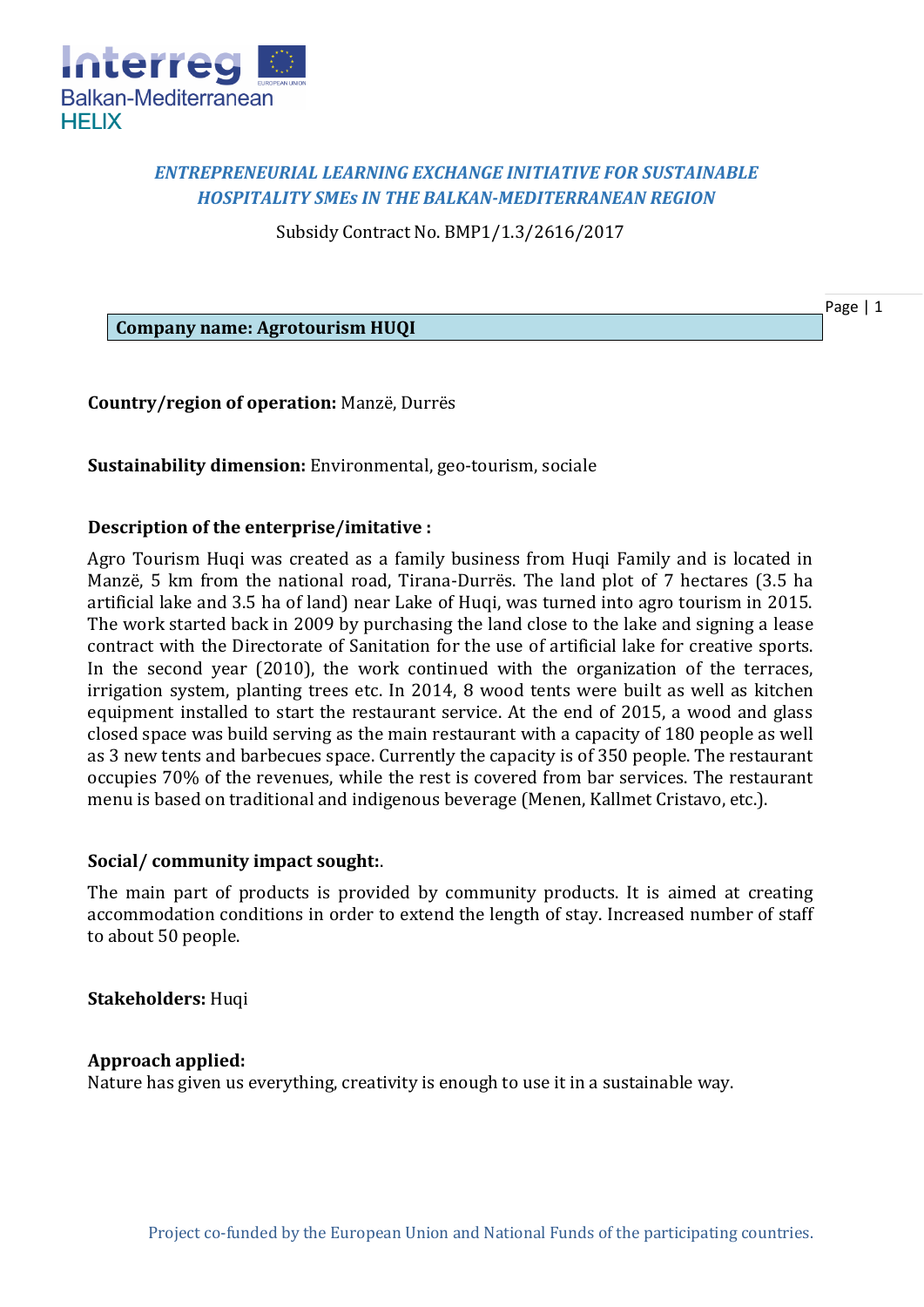

# *ENTREPRENEURIAL LEARNING EXCHANGE INITIATIVE FOR SUSTAINABLE HOSPITALITY SMEs IN THE BALKAN-MEDITERRANEAN REGION*

Subsidy Contract No. BMP1/1.3/2616/2017

Page | 1

**Company name: Agrotourism HUQI**

**Country/region of operation:** Manzë, Durrës

**Sustainability dimension:** Environmental, geo-tourism, sociale

## **Description of the enterprise/imitative :**

Agro Tourism Huqi was created as a family business from Huqi Family and is located in Manzë, 5 km from the national road, Tirana-Durrës. The land plot of 7 hectares (3.5 ha artificial lake and 3.5 ha of land) near Lake of Huqi, was turned into agro tourism in 2015. The work started back in 2009 by purchasing the land close to the lake and signing a lease contract with the Directorate of Sanitation for the use of artificial lake for creative sports. In the second year (2010), the work continued with the organization of the terraces, irrigation system, planting trees etc. In 2014, 8 wood tents were built as well as kitchen equipment installed to start the restaurant service. At the end of 2015, a wood and glass closed space was build serving as the main restaurant with a capacity of 180 people as well as 3 new tents and barbecues space. Currently the capacity is of 350 people. The restaurant occupies 70% of the revenues, while the rest is covered from bar services. The restaurant menu is based on traditional and indigenous beverage (Menen, Kallmet Cristavo, etc.).

#### **Social/ community impact sought:**.

The main part of products is provided by community products. It is aimed at creating accommodation conditions in order to extend the length of stay. Increased number of staff to about 50 people.

# **Stakeholders:** Huqi

#### **Approach applied:**

Nature has given us everything, creativity is enough to use it in a sustainable way.